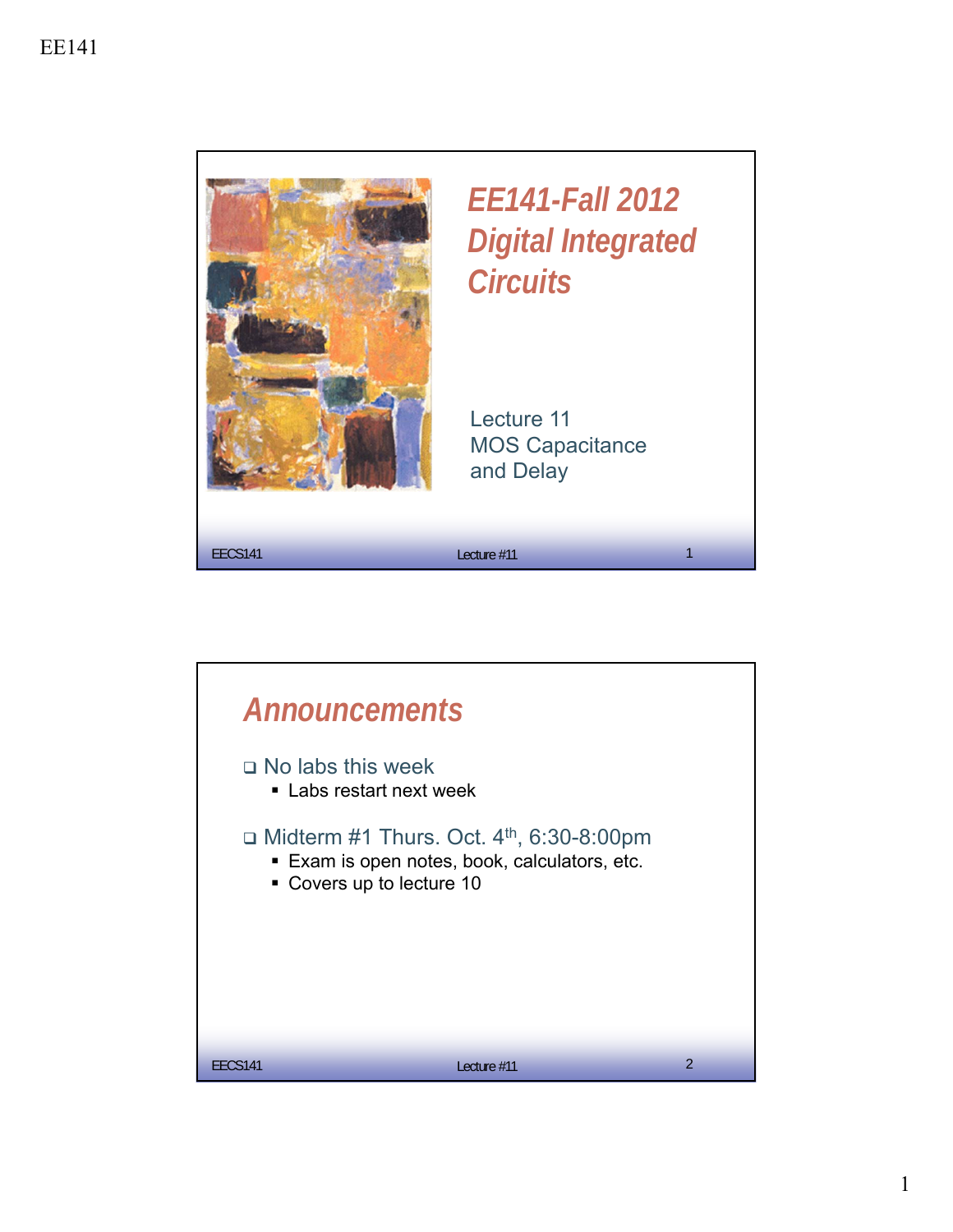

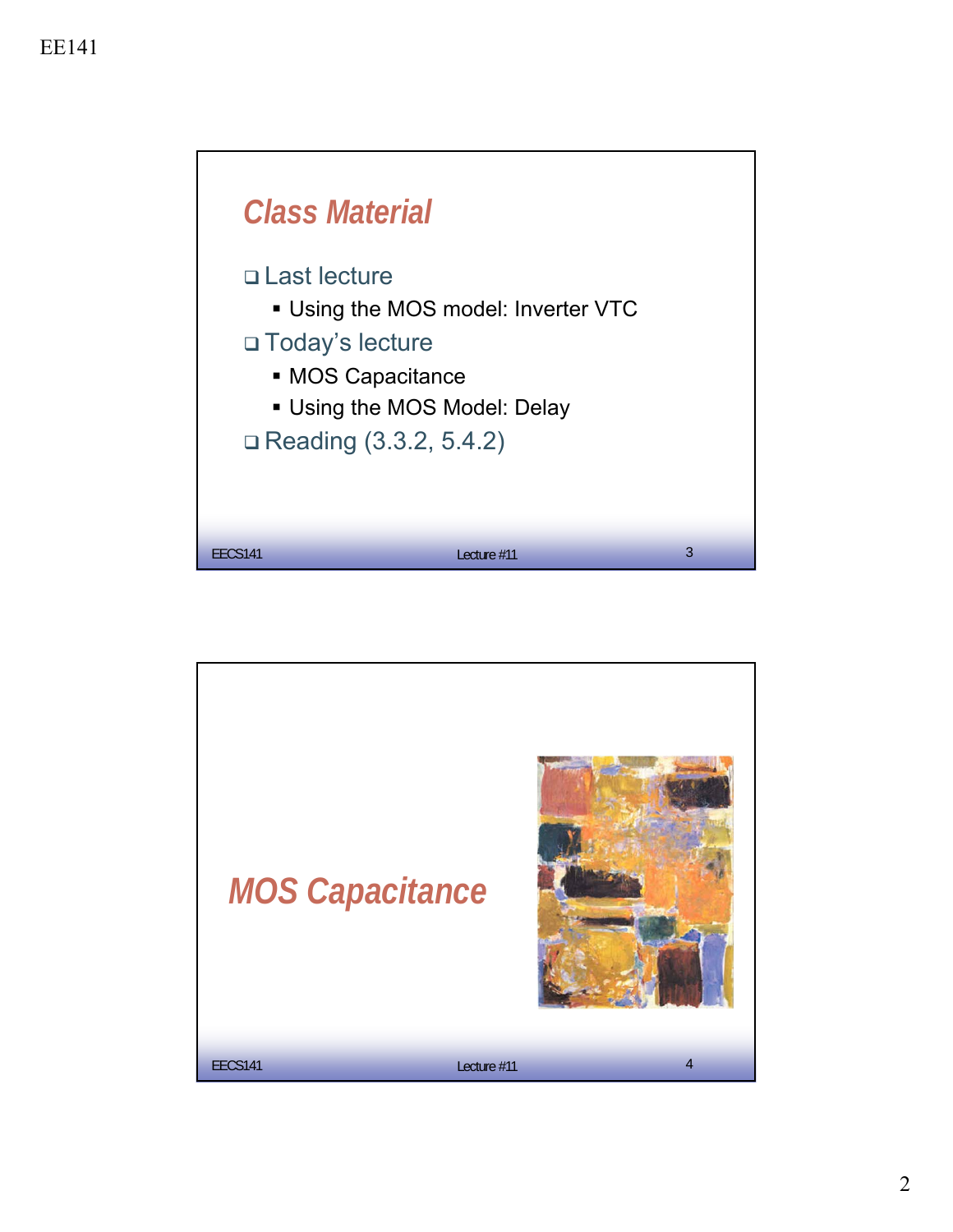

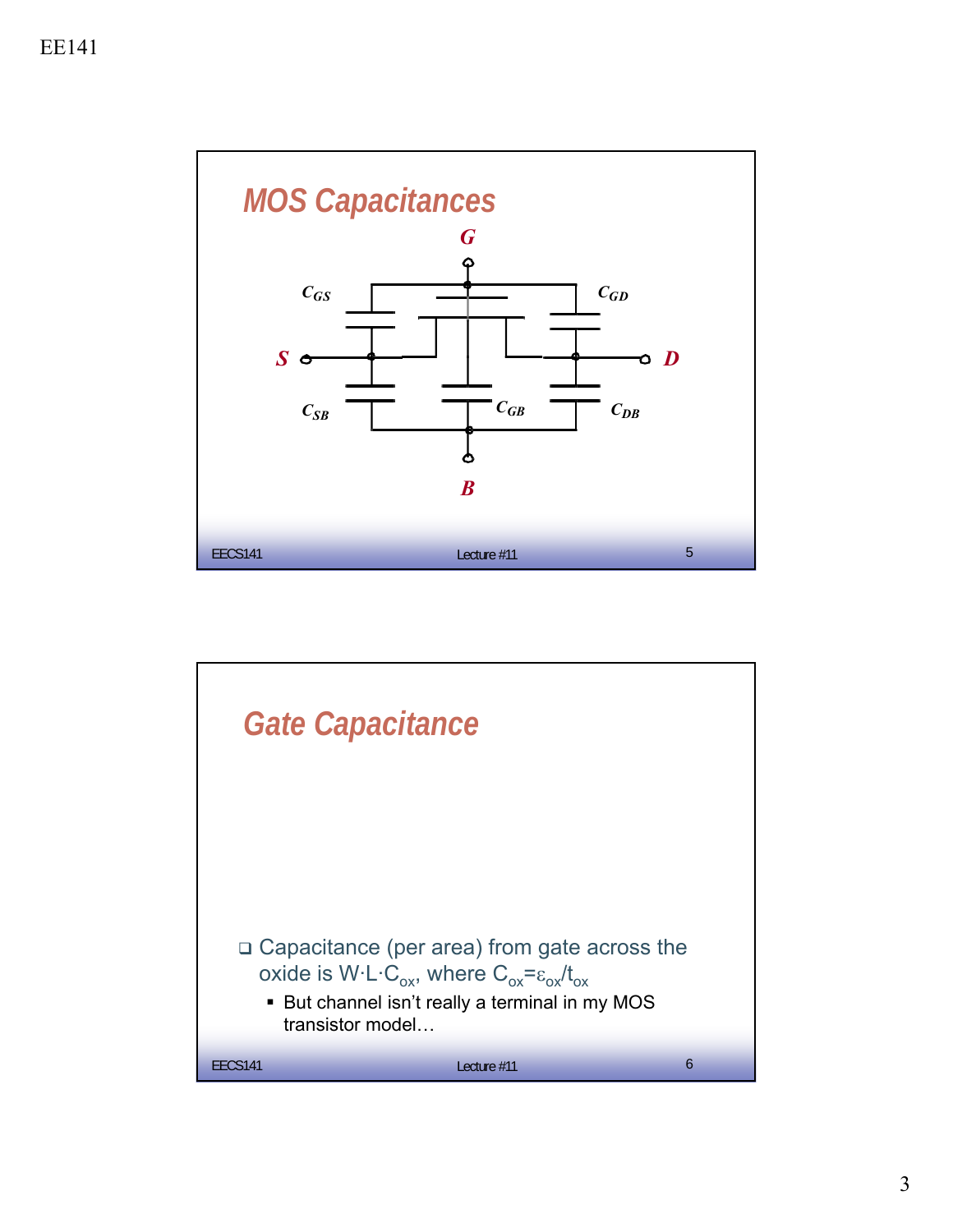

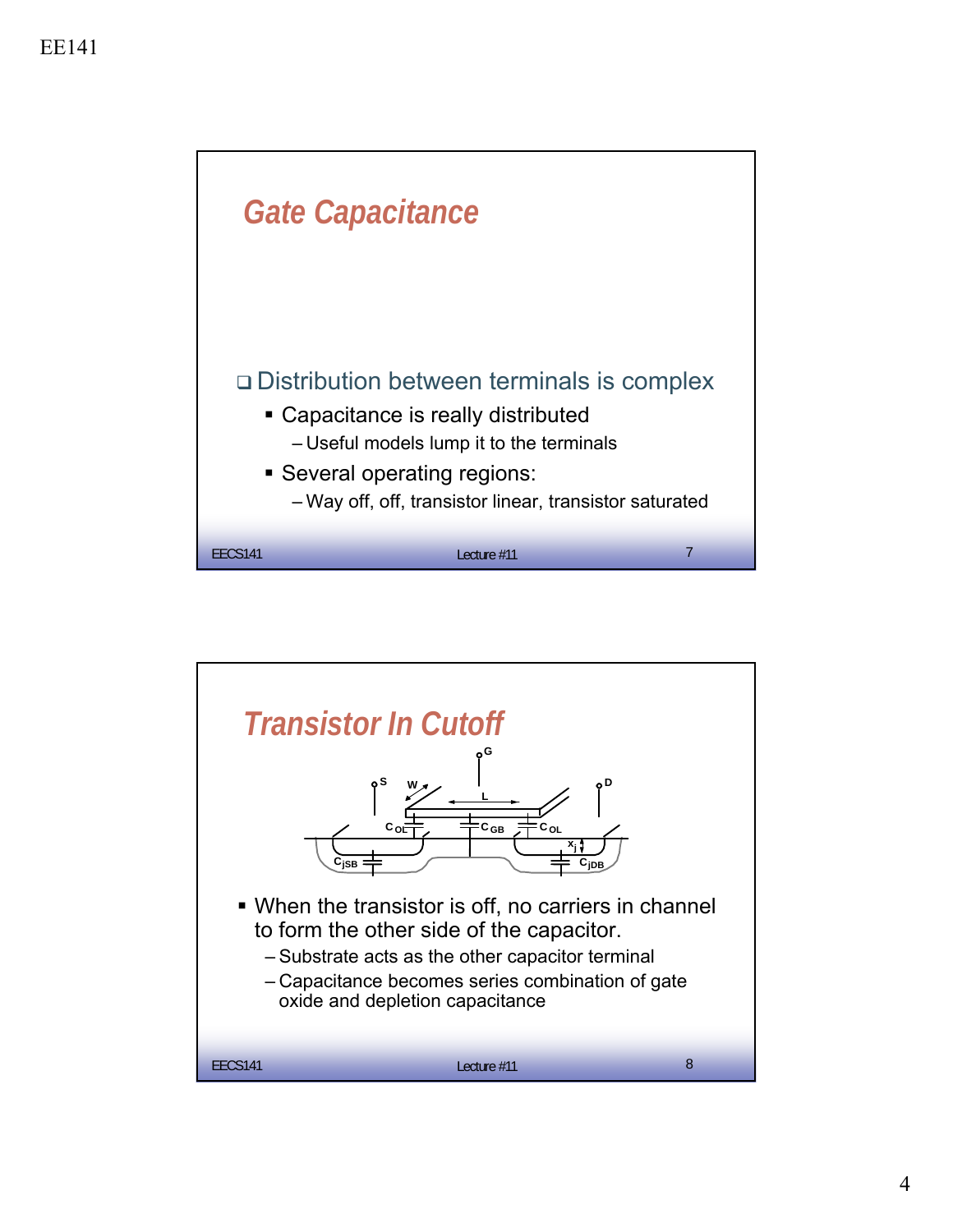

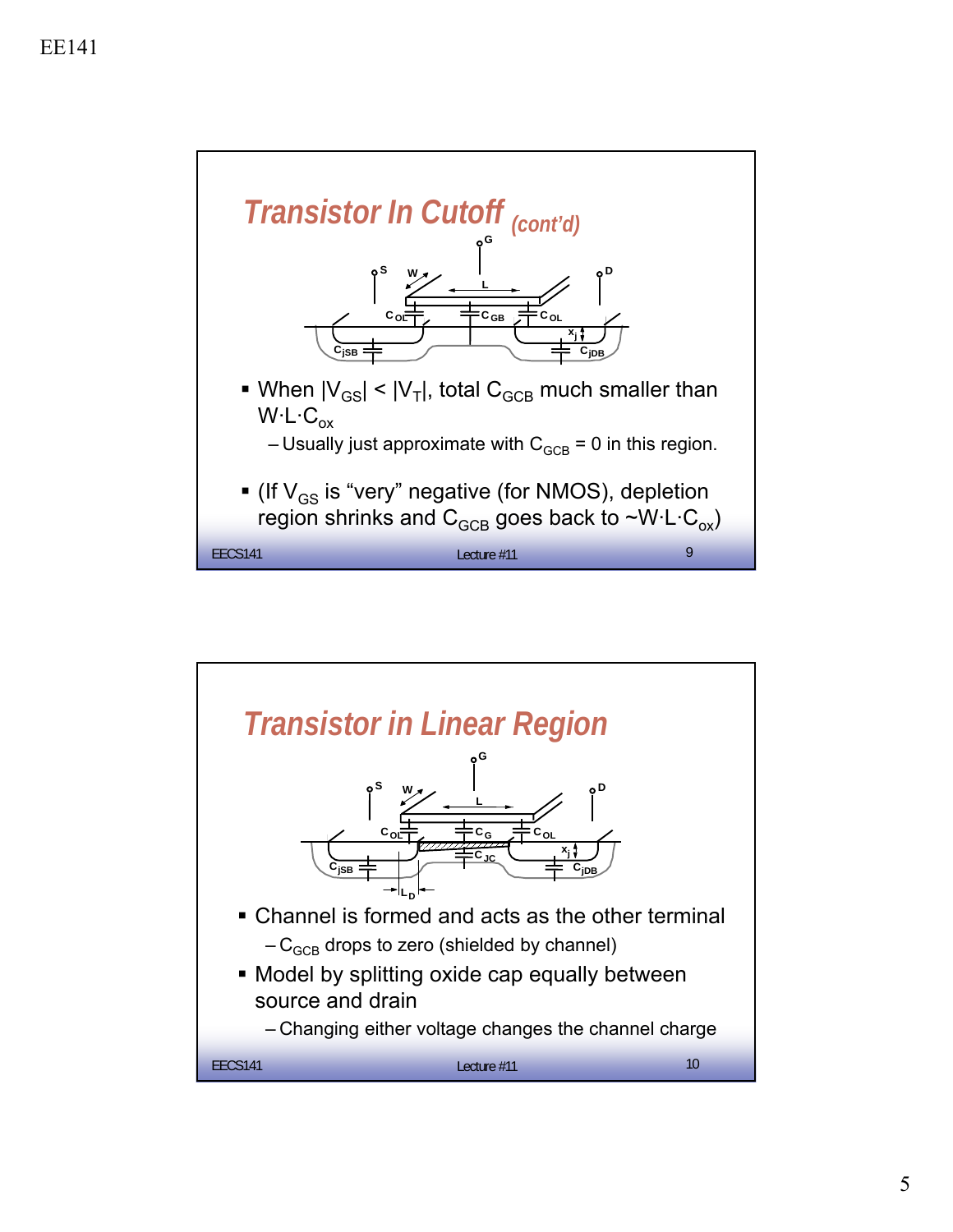

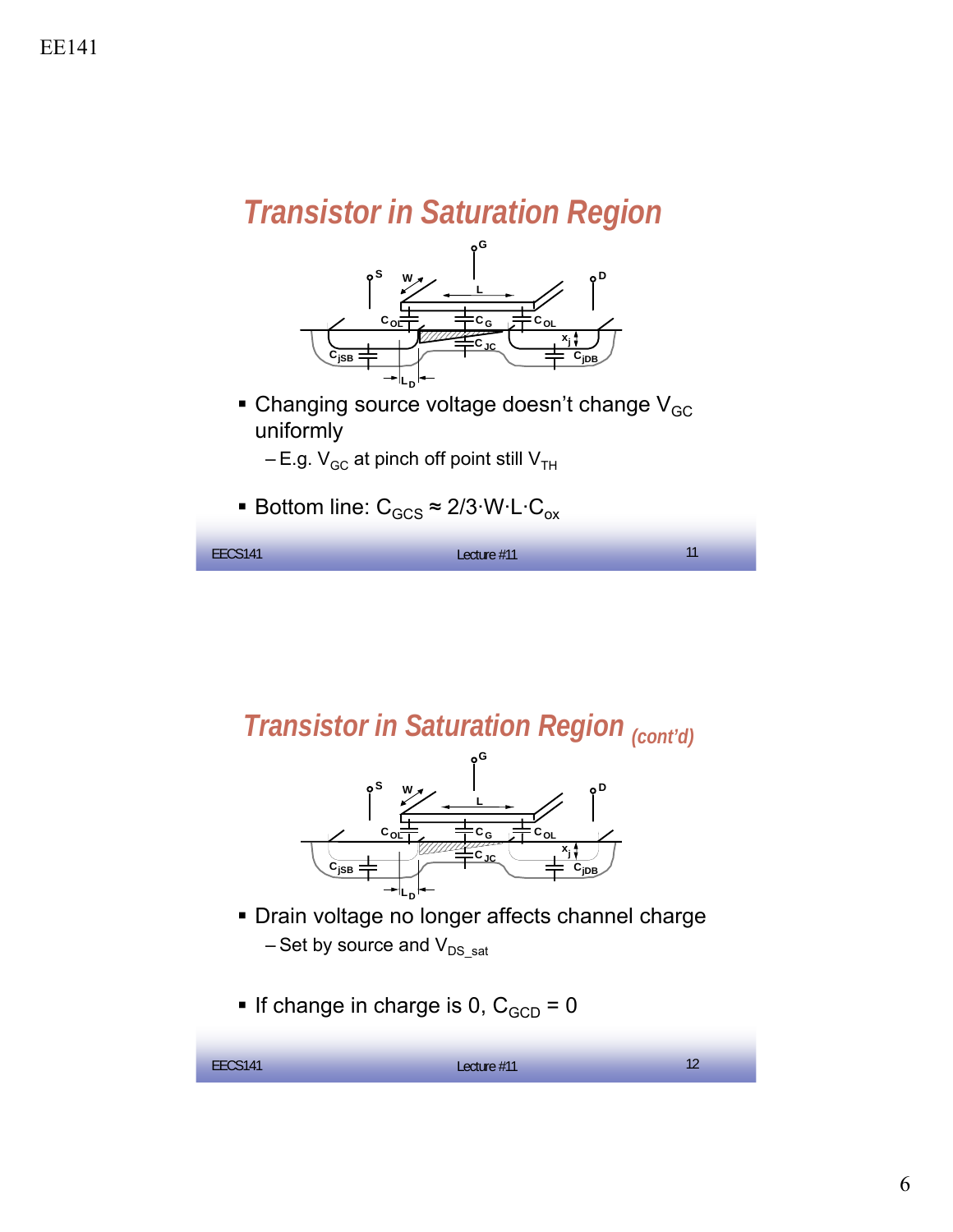## *Transistor in Saturation Region*



 $\blacksquare$  Changing source voltage doesn't change V<sub>GC</sub> uniformly

 $-E.g. V<sub>GC</sub>$  at pinch off point still  $V<sub>TH</sub>$ 

■ Bottom line:  $C_{GCS} \approx 2/3$ ·W·L·C<sub>ox</sub>

| EECS141 | Lecture #11 | 11<br>. . |
|---------|-------------|-----------|
|         |             |           |

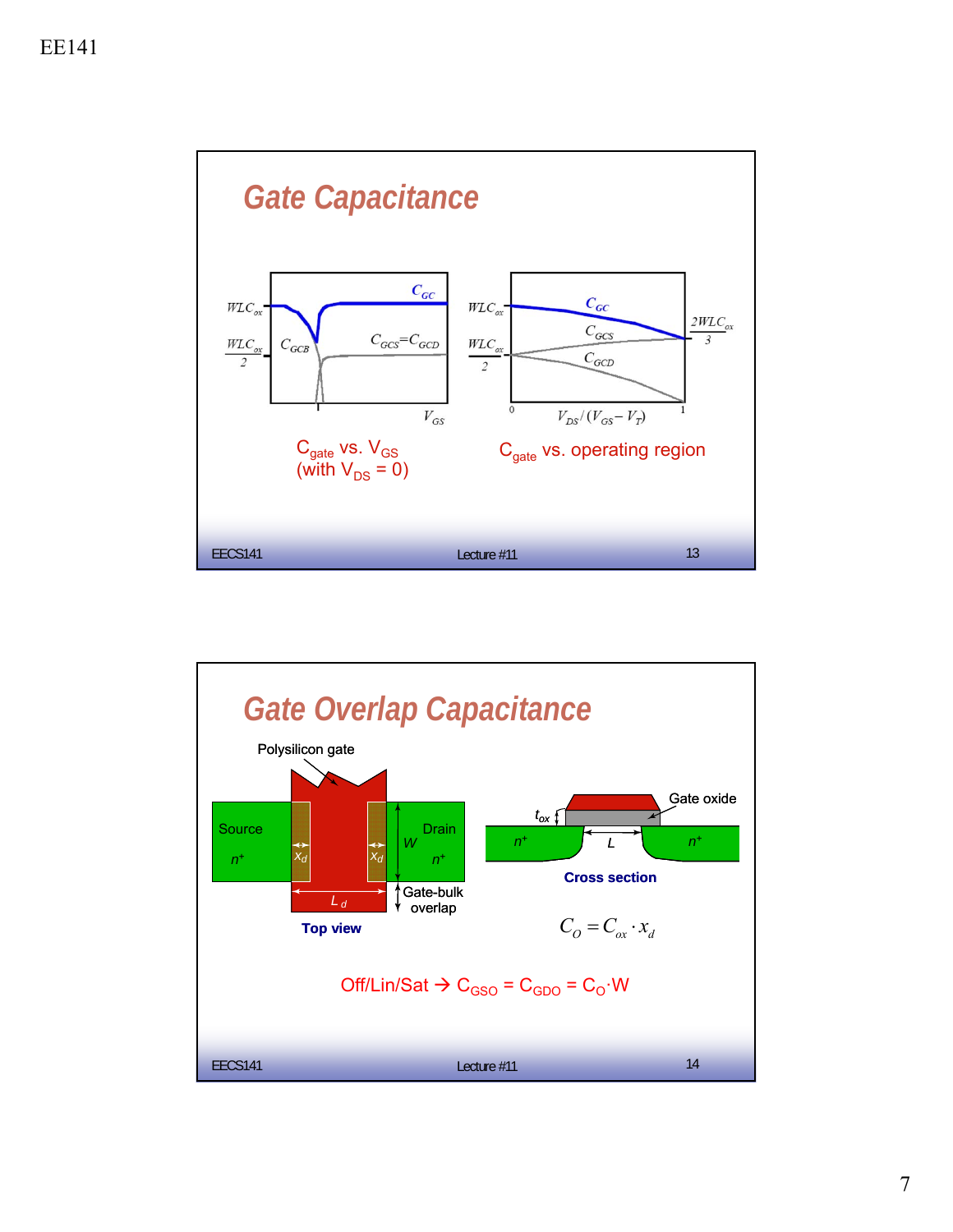

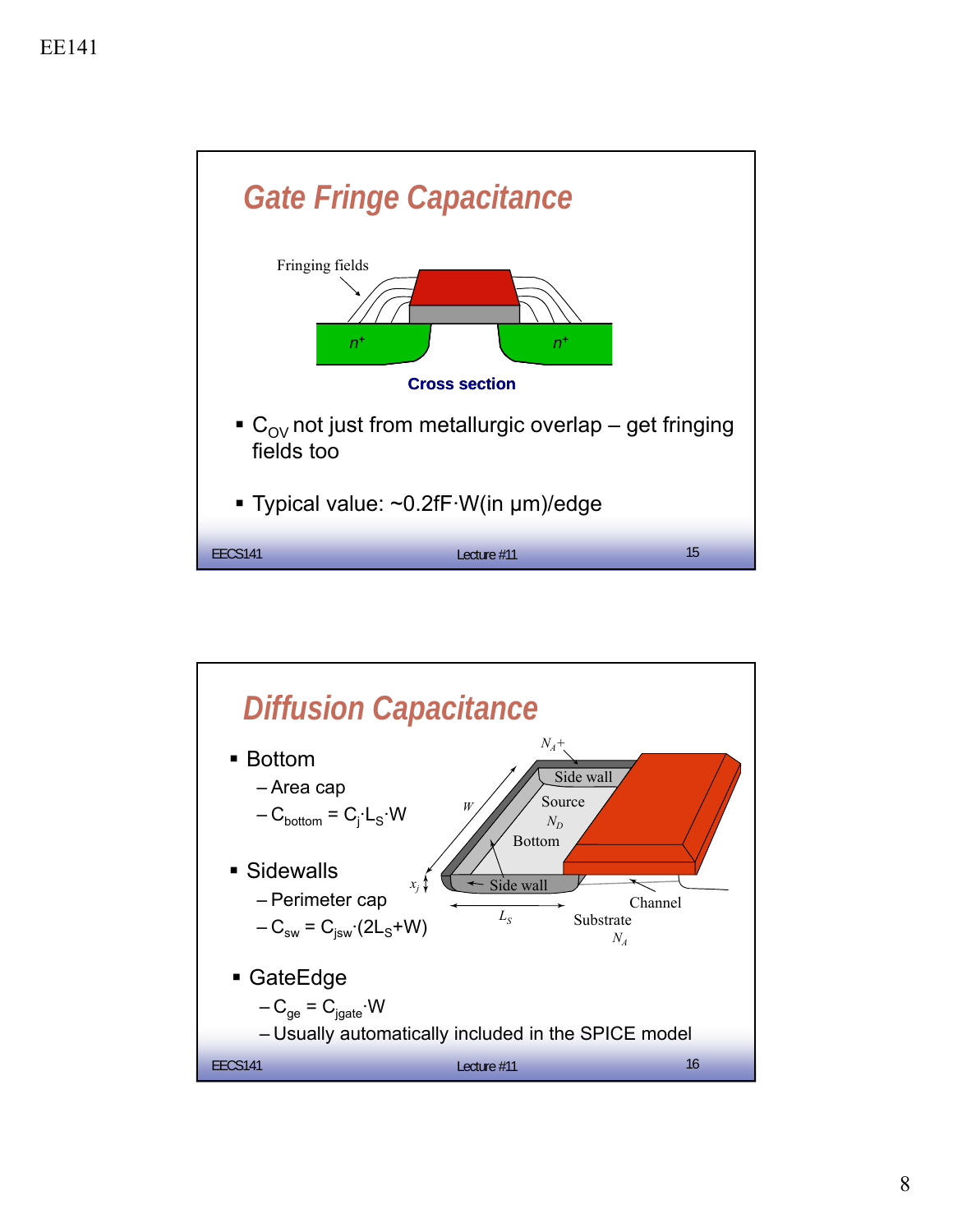

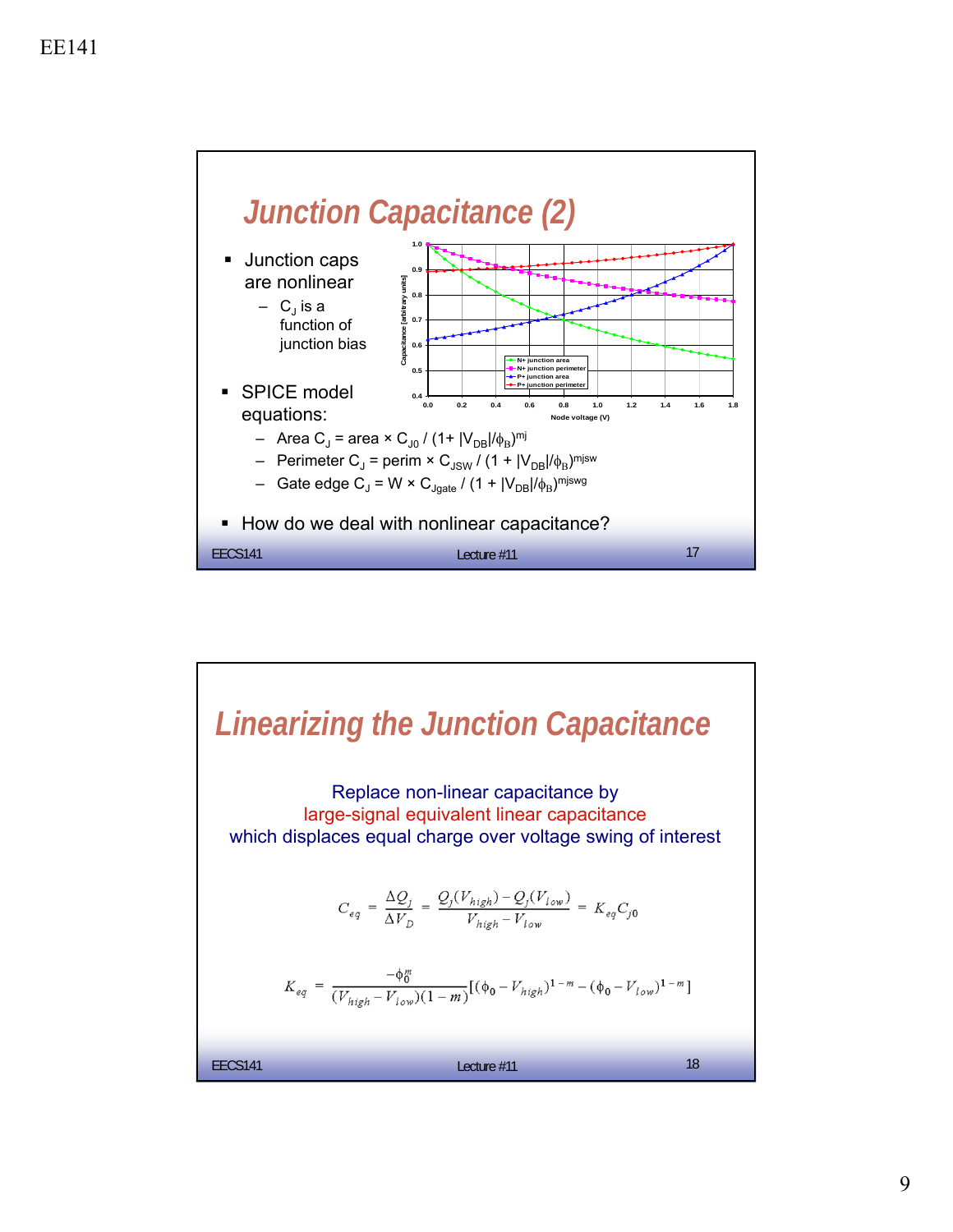

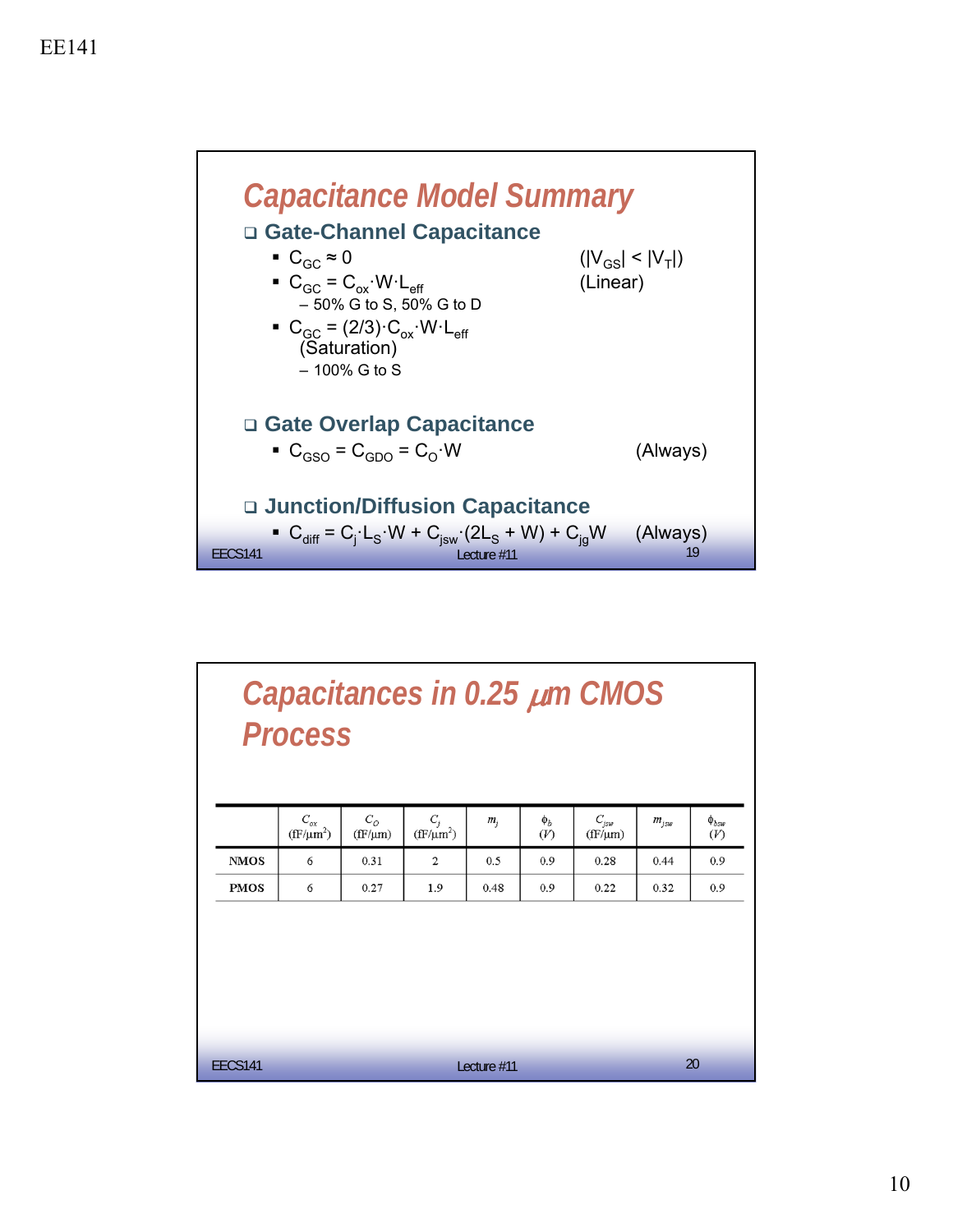

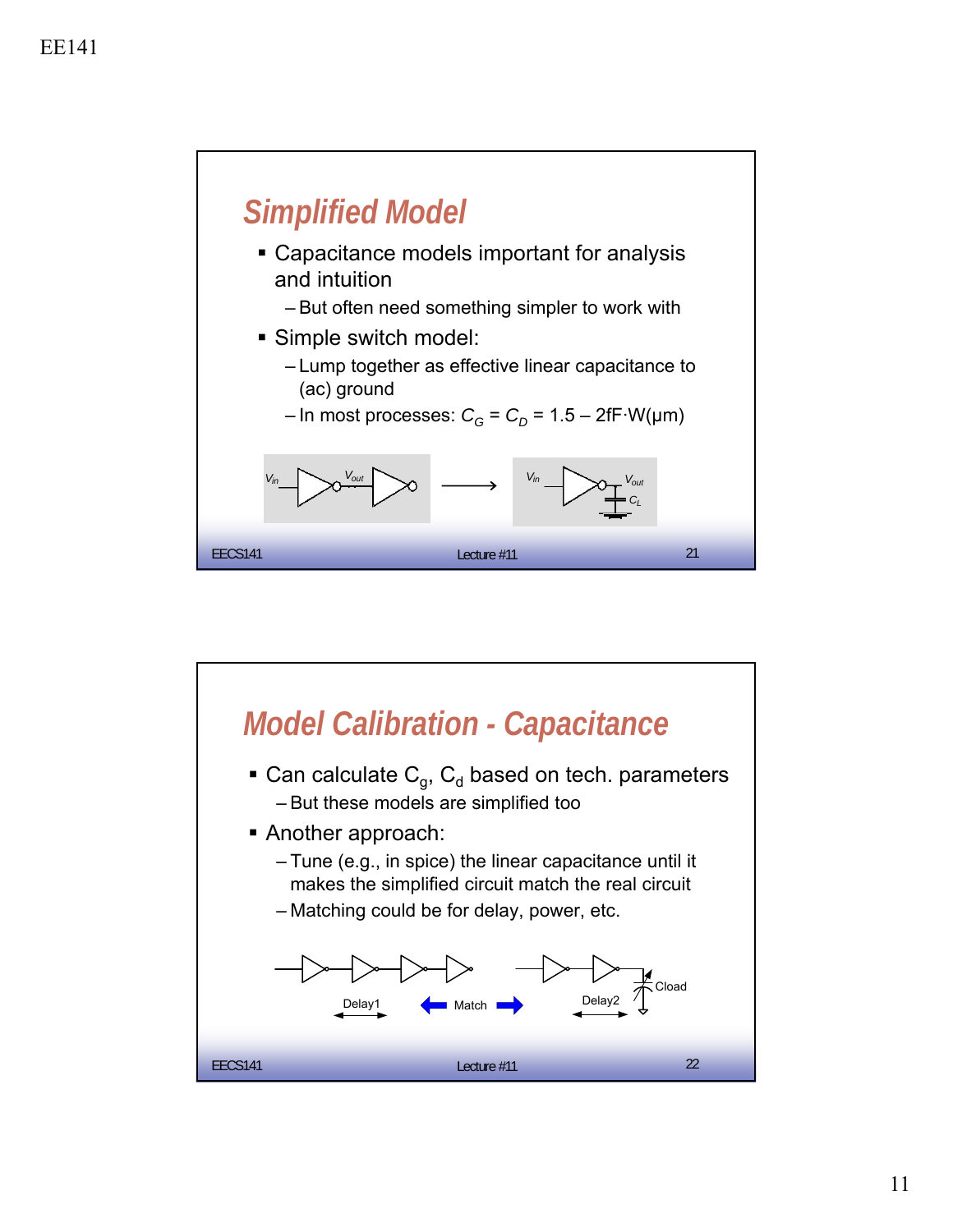

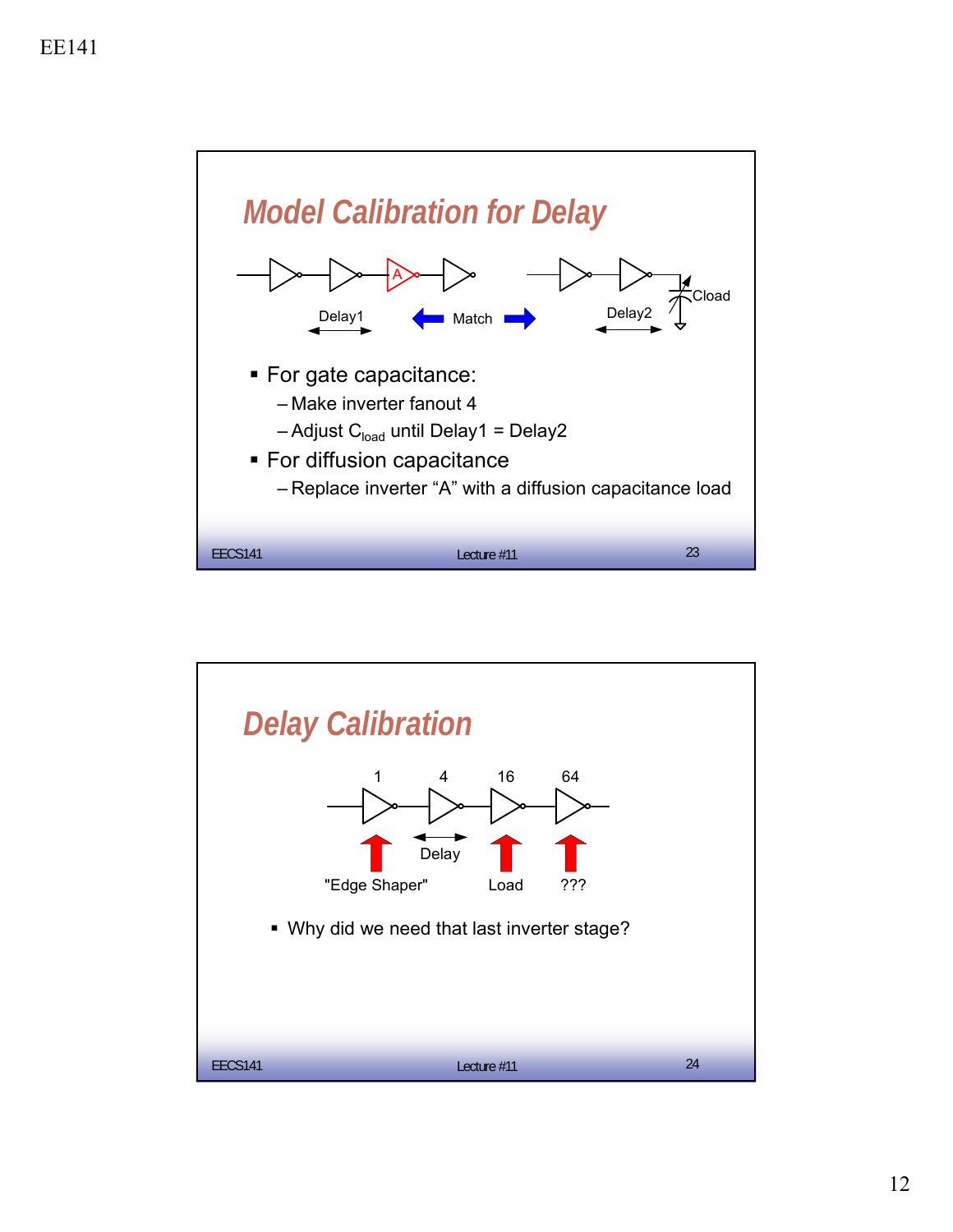

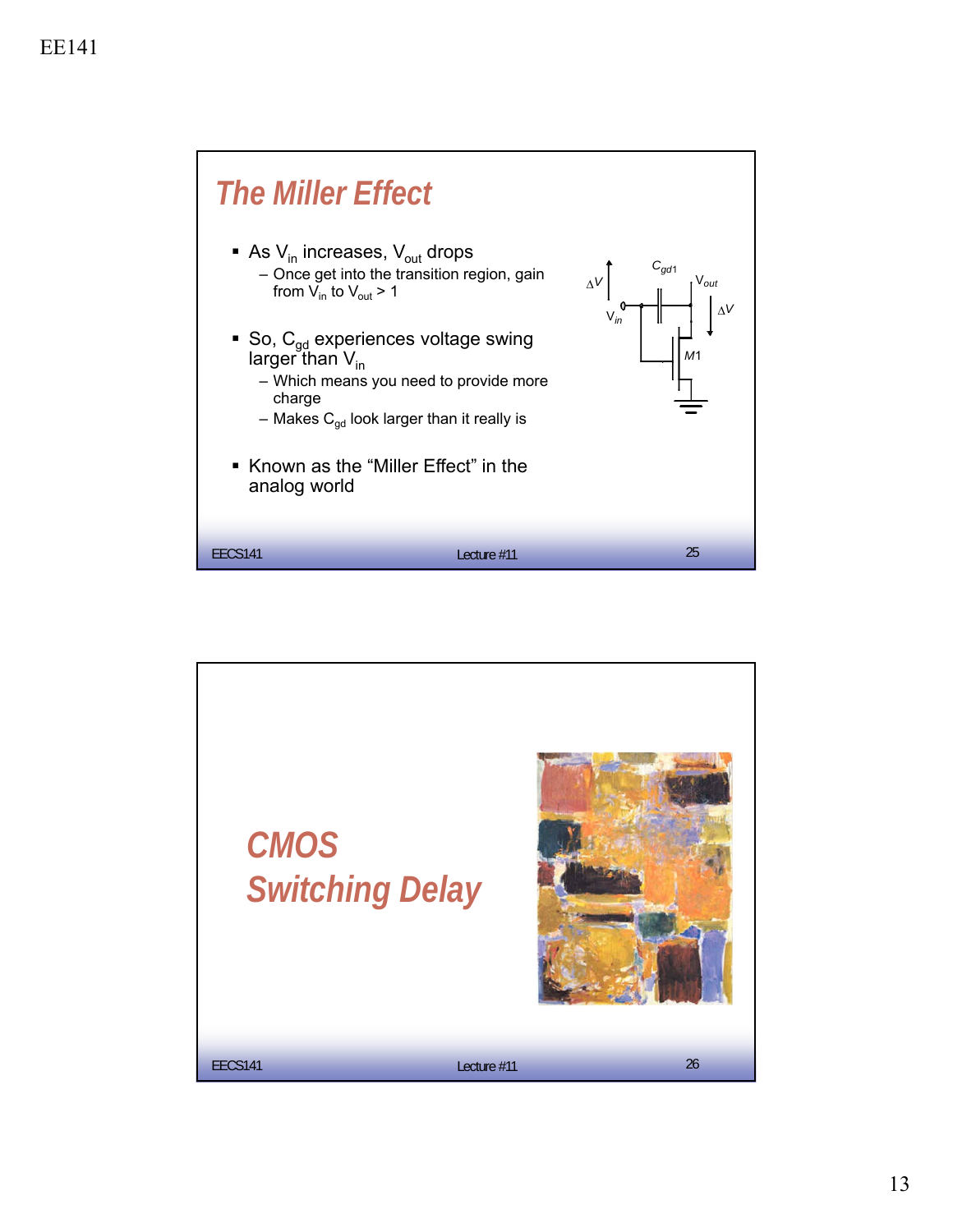

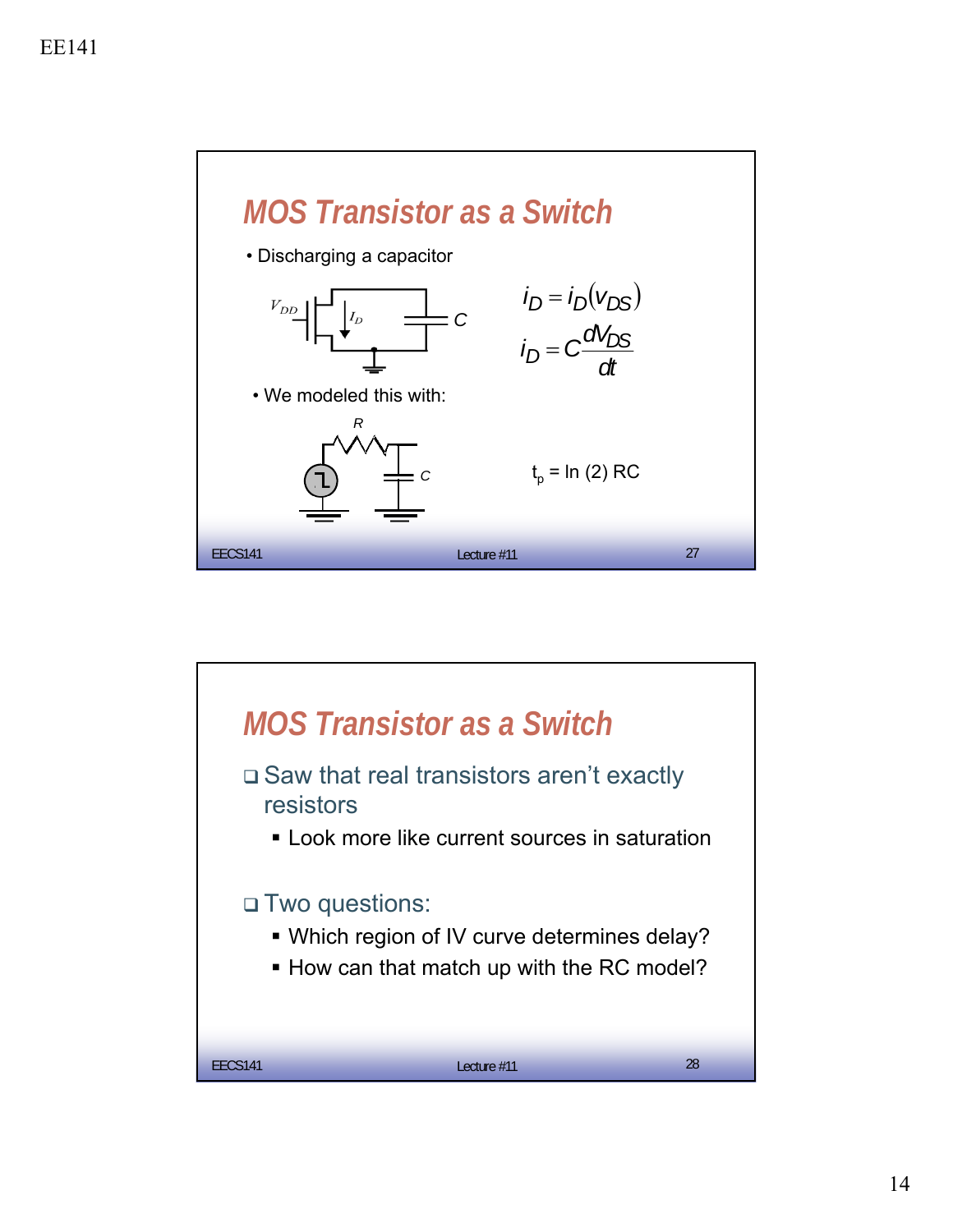

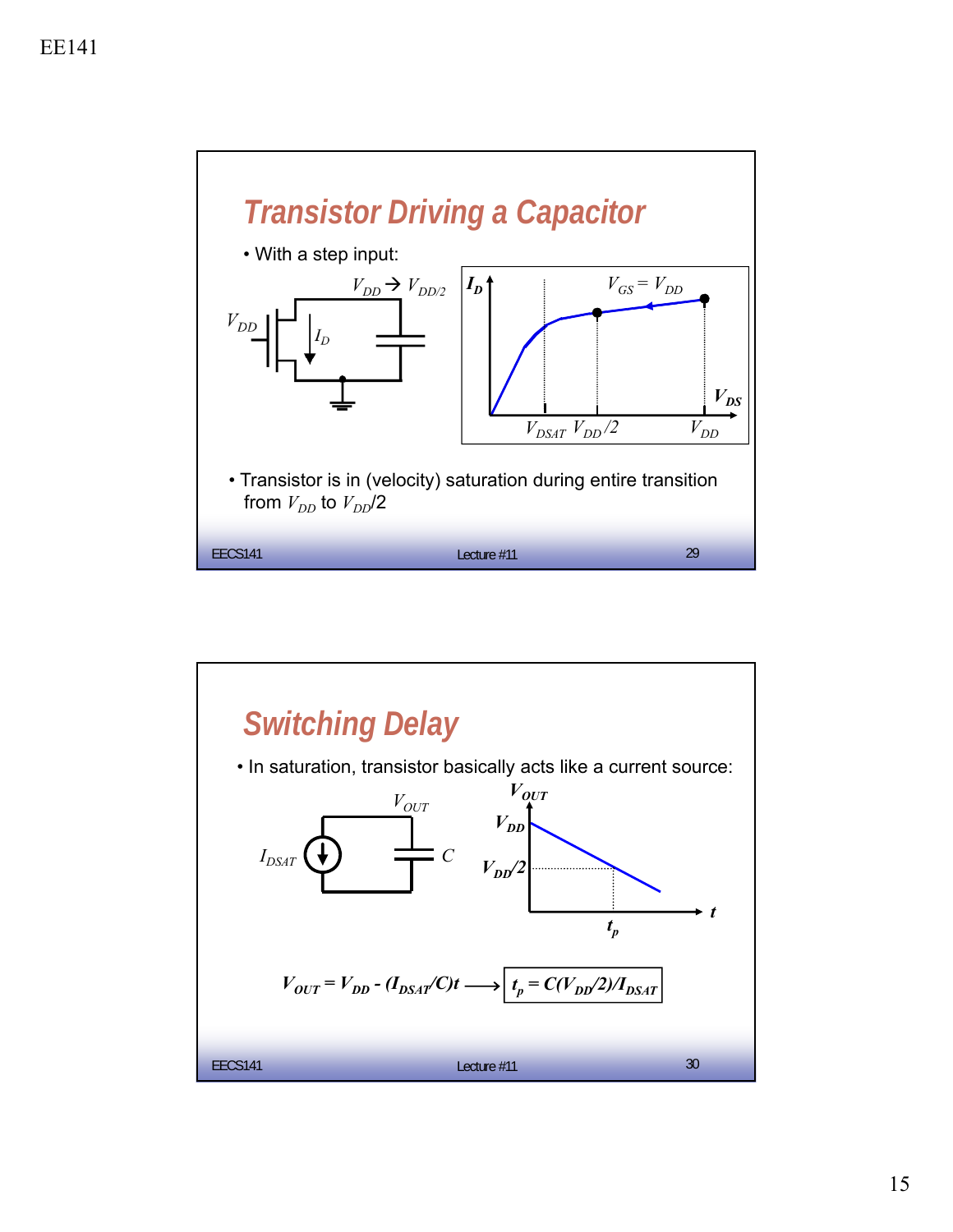

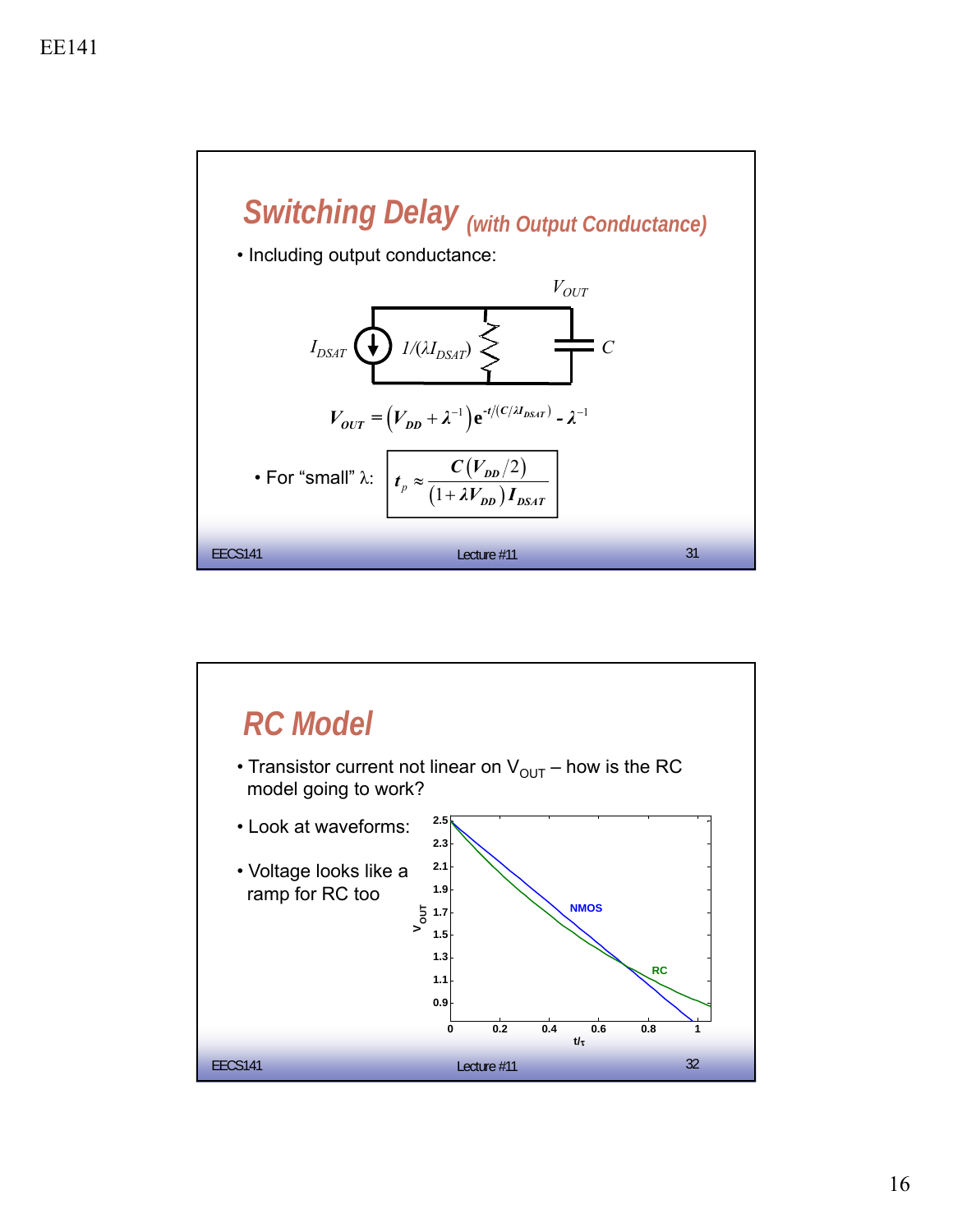

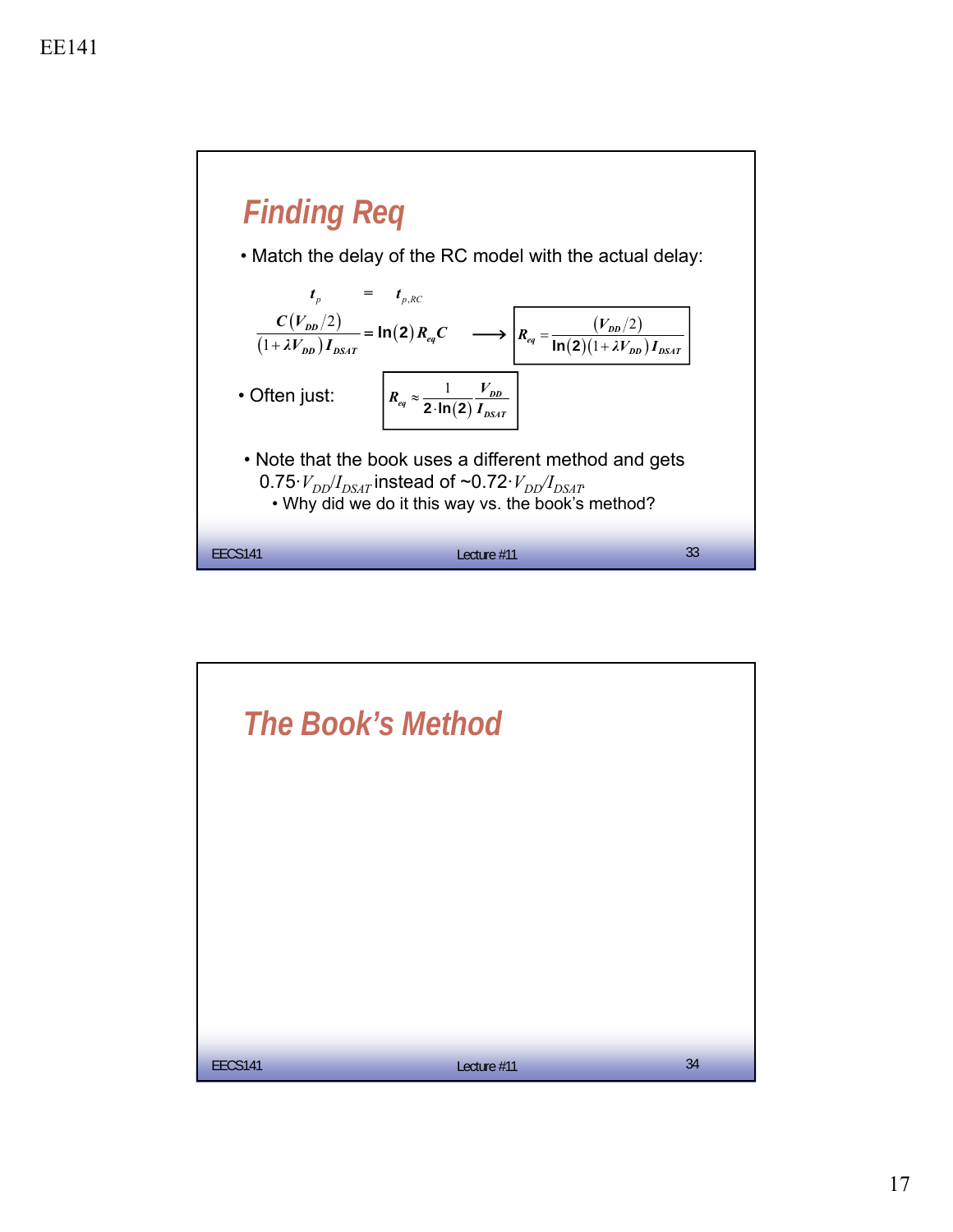